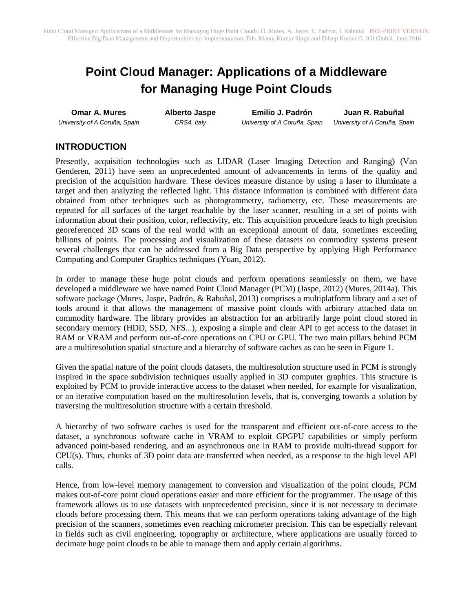# **Point Cloud Manager: Applications of a Middleware for Managing Huge Point Clouds**

**Omar A. Mures** *University of A Coruña, Spain* **Alberto Jaspe** *CRS4, Italy*

**Emilio J. Padrón** *University of A Coruña, Spain*

**Juan R. Rabuñal** *University of A Coruña, Spain*

## **INTRODUCTION**

Presently, acquisition technologies such as LIDAR (Laser Imaging Detection and Ranging) (Van Genderen, 2011) have seen an unprecedented amount of advancements in terms of the quality and precision of the acquisition hardware. These devices measure distance by using a laser to illuminate a target and then analyzing the reflected light. This distance information is combined with different data obtained from other techniques such as photogrammetry, radiometry, etc. These measurements are repeated for all surfaces of the target reachable by the laser scanner, resulting in a set of points with information about their position, color, reflectivity, etc. This acquisition procedure leads to high precision georeferenced 3D scans of the real world with an exceptional amount of data, sometimes exceeding billions of points. The processing and visualization of these datasets on commodity systems present several challenges that can be addressed from a Big Data perspective by applying High Performance Computing and Computer Graphics techniques (Yuan, 2012).

In order to manage these huge point clouds and perform operations seamlessly on them, we have developed a middleware we have named Point Cloud Manager (PCM) (Jaspe, 2012) (Mures, 2014a). This software package (Mures, Jaspe, Padrón, & Rabuñal, 2013) comprises a multiplatform library and a set of tools around it that allows the management of massive point clouds with arbitrary attached data on commodity hardware. The library provides an abstraction for an arbitrarily large point cloud stored in secondary memory (HDD, SSD, NFS...), exposing a simple and clear API to get access to the dataset in RAM or VRAM and perform out-of-core operations on CPU or GPU. The two main pillars behind PCM are a multiresolution spatial structure and a hierarchy of software caches as can be seen in Figure 1.

Given the spatial nature of the point clouds datasets, the multiresolution structure used in PCM is strongly inspired in the space subdivision techniques usually applied in 3D computer graphics. This structure is exploited by PCM to provide interactive access to the dataset when needed, for example for visualization, or an iterative computation based on the multiresolution levels, that is, converging towards a solution by traversing the multiresolution structure with a certain threshold.

A hierarchy of two software caches is used for the transparent and efficient out-of-core access to the dataset, a synchronous software cache in VRAM to exploit GPGPU capabilities or simply perform advanced point-based rendering, and an asynchronous one in RAM to provide multi-thread support for CPU(s). Thus, chunks of 3D point data are transferred when needed, as a response to the high level API calls.

Hence, from low-level memory management to conversion and visualization of the point clouds, PCM makes out-of-core point cloud operations easier and more efficient for the programmer. The usage of this framework allows us to use datasets with unprecedented precision, since it is not necessary to decimate clouds before processing them. This means that we can perform operations taking advantage of the high precision of the scanners, sometimes even reaching micrometer precision. This can be especially relevant in fields such as civil engineering, topography or architecture, where applications are usually forced to decimate huge point clouds to be able to manage them and apply certain algorithms.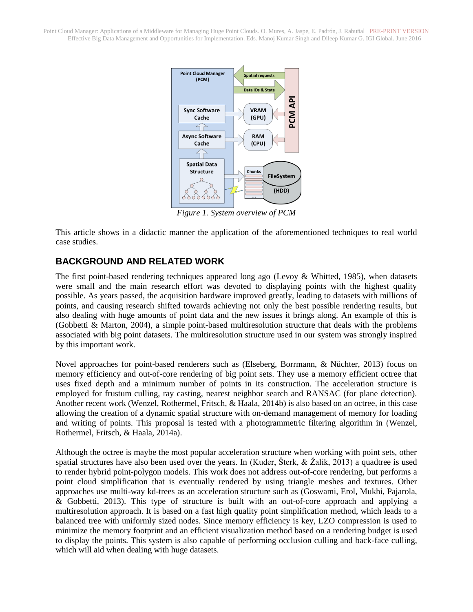Point Cloud Manager: Applications of a Middleware for Managing Huge Point Clouds. O. Mures, A. Jaspe, E. Padrón, J. Rabuñal PRE-PRINT VERSION Effective Big Data Management and Opportunities for Implementation. Eds. Manoj Kumar Singh and Dileep Kumar G. IGI Global. June 2016



*Figure 1. System overview of PCM*

This article shows in a didactic manner the application of the aforementioned techniques to real world case studies.

## **BACKGROUND AND RELATED WORK**

The first point-based rendering techniques appeared long ago (Levoy & Whitted, 1985), when datasets were small and the main research effort was devoted to displaying points with the highest quality possible. As years passed, the acquisition hardware improved greatly, leading to datasets with millions of points, and causing research shifted towards achieving not only the best possible rendering results, but also dealing with huge amounts of point data and the new issues it brings along. An example of this is (Gobbetti & Marton, 2004), a simple point-based multiresolution structure that deals with the problems associated with big point datasets. The multiresolution structure used in our system was strongly inspired by this important work.

Novel approaches for point-based renderers such as (Elseberg, Borrmann, & Nüchter, 2013) focus on memory efficiency and out-of-core rendering of big point sets. They use a memory efficient octree that uses fixed depth and a minimum number of points in its construction. The acceleration structure is employed for frustum culling, ray casting, nearest neighbor search and RANSAC (for plane detection). Another recent work (Wenzel, Rothermel, Fritsch, & Haala, 2014b) is also based on an octree, in this case allowing the creation of a dynamic spatial structure with on-demand management of memory for loading and writing of points. This proposal is tested with a photogrammetric filtering algorithm in (Wenzel, Rothermel, Fritsch, & Haala, 2014a).

Although the octree is maybe the most popular acceleration structure when working with point sets, other spatial structures have also been used over the years. In (Kuder, Šterk, & Žalik, 2013) a quadtree is used to render hybrid point-polygon models. This work does not address out-of-core rendering, but performs a point cloud simplification that is eventually rendered by using triangle meshes and textures. Other approaches use multi-way kd-trees as an acceleration structure such as (Goswami, Erol, Mukhi, Pajarola, & Gobbetti, 2013). This type of structure is built with an out-of-core approach and applying a multiresolution approach. It is based on a fast high quality point simplification method, which leads to a balanced tree with uniformly sized nodes. Since memory efficiency is key, LZO compression is used to minimize the memory footprint and an efficient visualization method based on a rendering budget is used to display the points. This system is also capable of performing occlusion culling and back-face culling, which will aid when dealing with huge datasets.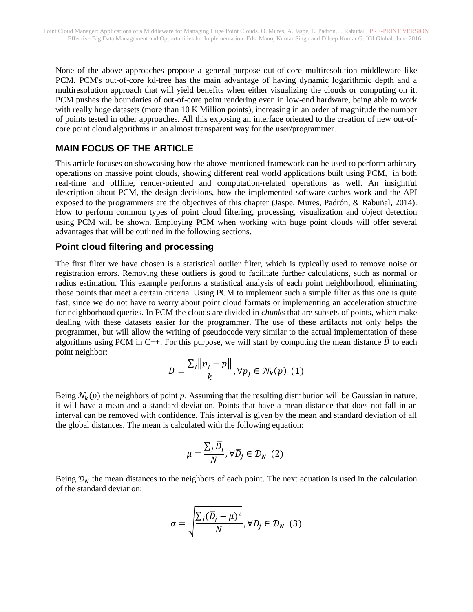None of the above approaches propose a general-purpose out-of-core multiresolution middleware like PCM. PCM's out-of-core kd-tree has the main advantage of having dynamic logarithmic depth and a multiresolution approach that will yield benefits when either visualizing the clouds or computing on it. PCM pushes the boundaries of out-of-core point rendering even in low-end hardware, being able to work with really huge datasets (more than 10 K Million points), increasing in an order of magnitude the number of points tested in other approaches. All this exposing an interface oriented to the creation of new out-ofcore point cloud algorithms in an almost transparent way for the user/programmer.

# **MAIN FOCUS OF THE ARTICLE**

This article focuses on showcasing how the above mentioned framework can be used to perform arbitrary operations on massive point clouds, showing different real world applications built using PCM, in both real-time and offline, render-oriented and computation-related operations as well. An insightful description about PCM, the design decisions, how the implemented software caches work and the API exposed to the programmers are the objectives of this chapter (Jaspe, Mures, Padrón, & Rabuñal, 2014). How to perform common types of point cloud filtering, processing, visualization and object detection using PCM will be shown. Employing PCM when working with huge point clouds will offer several advantages that will be outlined in the following sections.

#### **Point cloud filtering and processing**

The first filter we have chosen is a statistical outlier filter, which is typically used to remove noise or registration errors. Removing these outliers is good to facilitate further calculations, such as normal or radius estimation. This example performs a statistical analysis of each point neighborhood, eliminating those points that meet a certain criteria. Using PCM to implement such a simple filter as this one is quite fast, since we do not have to worry about point cloud formats or implementing an acceleration structure for neighborhood queries. In PCM the clouds are divided in *chunks* that are subsets of points, which make dealing with these datasets easier for the programmer. The use of these artifacts not only helps the programmer, but will allow the writing of pseudocode very similar to the actual implementation of these algorithms using PCM in C++. For this purpose, we will start by computing the mean distance  $\overline{D}$  to each point neighbor:

$$
\overline{D} = \frac{\sum_{j} ||p_j - p||}{k}, \forall p_j \in \mathcal{N}_k(p) \quad (1)
$$

Being  $\mathcal{N}_k(p)$  the neighbors of point p. Assuming that the resulting distribution will be Gaussian in nature, it will have a mean and a standard deviation. Points that have a mean distance that does not fall in an interval can be removed with confidence. This interval is given by the mean and standard deviation of all the global distances. The mean is calculated with the following equation:

$$
\mu = \frac{\sum_{j} \overline{D}_{j}}{N}, \forall \overline{D}_{j} \in \mathcal{D}_{N} \quad (2)
$$

Being  $\mathcal{D}_N$  the mean distances to the neighbors of each point. The next equation is used in the calculation of the standard deviation:

$$
\sigma = \sqrt{\frac{\Sigma_j (\overline{D}_j - \mu)^2}{N}}, \forall \overline{D}_j \in \mathcal{D}_N
$$
 (3)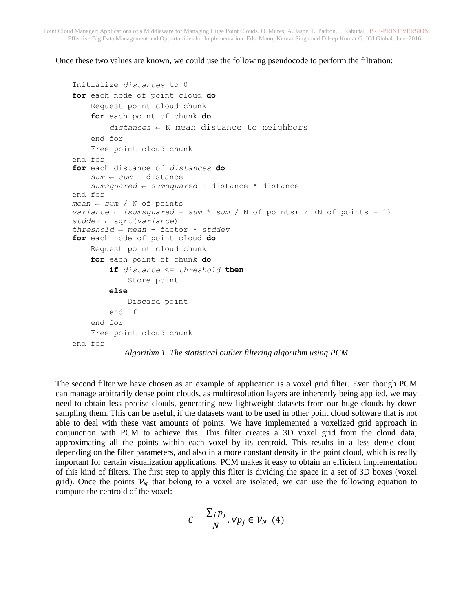Once these two values are known, we could use the following pseudocode to perform the filtration:

```
Initialize distances to 0
for each node of point cloud do
     Request point cloud chunk
     for each point of chunk do
         distances ← K mean distance to neighbors
     end for
     Free point cloud chunk
end for
for each distance of distances do
     sum ← sum + distance
     sumsquared ← sumsquared + distance * distance
end for
mean ← sum / N of points
variance ← (sumsquared - sum * sum / N of points) / (N of points - 1)
stddev ← sqrt(variance)
threshold ← mean + factor * stddev
for each node of point cloud do
     Request point cloud chunk
     for each point of chunk do
         if distance <= threshold then
             Store point
         else
             Discard point
         end if
     end for
     Free point cloud chunk
end for
           Algorithm 1. The statistical outlier filtering algorithm using PCM
```
The second filter we have chosen as an example of application is a voxel grid filter. Even though PCM can manage arbitrarily dense point clouds, as multiresolution layers are inherently being applied, we may need to obtain less precise clouds, generating new lightweight datasets from our huge clouds by down sampling them. This can be useful, if the datasets want to be used in other point cloud software that is not able to deal with these vast amounts of points. We have implemented a voxelized grid approach in conjunction with PCM to achieve this. This filter creates a 3D voxel grid from the cloud data, approximating all the points within each voxel by its centroid. This results in a less dense cloud depending on the filter parameters, and also in a more constant density in the point cloud, which is really important for certain visualization applications. PCM makes it easy to obtain an efficient implementation of this kind of filters. The first step to apply this filter is dividing the space in a set of 3D boxes (voxel grid). Once the points  $v<sub>N</sub>$  that belong to a voxel are isolated, we can use the following equation to compute the centroid of the voxel:

$$
C = \frac{\sum_j p_j}{N}, \forall p_j \in \mathcal{V}_N \quad (4)
$$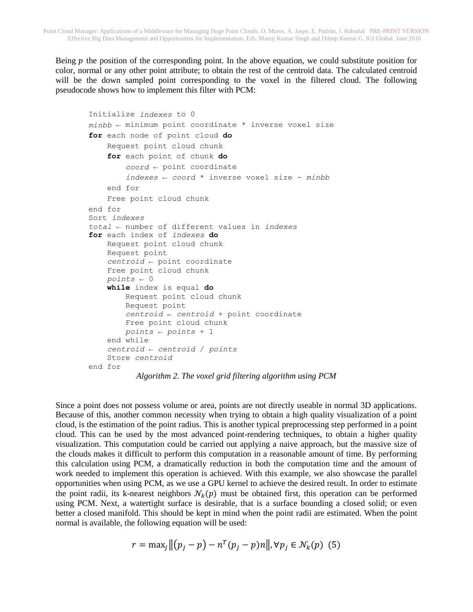Being  $p$  the position of the corresponding point. In the above equation, we could substitute position for color, normal or any other point attribute; to obtain the rest of the centroid data. The calculated centroid will be the down sampled point corresponding to the voxel in the filtered cloud. The following pseudocode shows how to implement this filter with PCM:

```
Initialize indexes to 0
minbb ← minimum point coordinate * inverse voxel size
for each node of point cloud do
     Request point cloud chunk
     for each point of chunk do
         coord ← point coordinate 
         indexes ← coord * inverse voxel size - minbb
     end for
     Free point cloud chunk
end for
Sort indexes
total ← number of different values in indexes
for each index of indexes do
     Request point cloud chunk
     Request point
     centroid ← point coordinate
     Free point cloud chunk
    points \leftarrow 0 while index is equal do
         Request point cloud chunk
         Request point
         centroid ← centroid + point coordinate
         Free point cloud chunk
         points ← points + 1
     end while
     centroid ← centroid / points
     Store centroid
end for
```
*Algorithm 2. The voxel grid filtering algorithm using PCM*

Since a point does not possess volume or area, points are not directly useable in normal 3D applications. Because of this, another common necessity when trying to obtain a high quality visualization of a point cloud, is the estimation of the point radius. This is another typical preprocessing step performed in a point cloud. This can be used by the most advanced point-rendering techniques, to obtain a higher quality visualization. This computation could be carried out applying a naive approach, but the massive size of the clouds makes it difficult to perform this computation in a reasonable amount of time. By performing this calculation using PCM, a dramatically reduction in both the computation time and the amount of work needed to implement this operation is achieved. With this example, we also showcase the parallel opportunities when using PCM, as we use a GPU kernel to achieve the desired result. In order to estimate the point radii, its k-nearest neighbors  $\mathcal{N}_k(p)$  must be obtained first, this operation can be performed using PCM. Next, a watertight surface is desirable, that is a surface bounding a closed solid; or even better a closed manifold. This should be kept in mind when the point radii are estimated. When the point normal is available, the following equation will be used:

$$
r = \max_j \left\| (p_j - p) - n^T (p_j - p) n \right\|, \forall p_j \in \mathcal{N}_k(p) \tag{5}
$$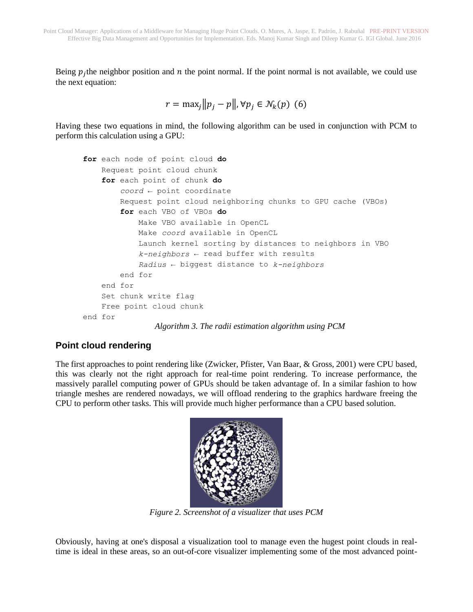Being  $p_j$ the neighbor position and  $n$  the point normal. If the point normal is not available, we could use the next equation:

```
r = \max_i ||p_i - p||, \forall p_i \in \mathcal{N}_k(p) (6)
```
Having these two equations in mind, the following algorithm can be used in conjunction with PCM to perform this calculation using a GPU:

```
for each node of point cloud do
     Request point cloud chunk
     for each point of chunk do
         coord ← point coordinate
         Request point cloud neighboring chunks to GPU cache (VBOs)
         for each VBO of VBOs do
            Make VBO available in OpenCL
             Make coord available in OpenCL
            Launch kernel sorting by distances to neighbors in VBO
             k-neighbors ← read buffer with results
             Radius ← biggest distance to k-neighbors
         end for
     end for
     Set chunk write flag
     Free point cloud chunk
end for
                Algorithm 3. The radii estimation algorithm using PCM
```
## **Point cloud rendering**

The first approaches to point rendering like (Zwicker, Pfister, Van Baar, & Gross, 2001) were CPU based, this was clearly not the right approach for real-time point rendering. To increase performance, the massively parallel computing power of GPUs should be taken advantage of. In a similar fashion to how triangle meshes are rendered nowadays, we will offload rendering to the graphics hardware freeing the CPU to perform other tasks. This will provide much higher performance than a CPU based solution.



*Figure 2. Screenshot of a visualizer that uses PCM*

Obviously, having at one's disposal a visualization tool to manage even the hugest point clouds in realtime is ideal in these areas, so an out-of-core visualizer implementing some of the most advanced point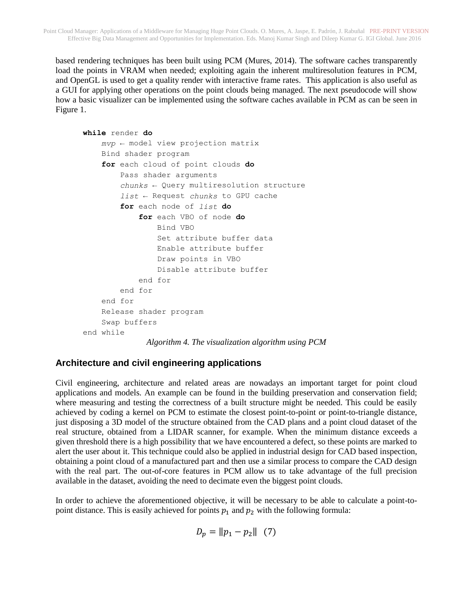based rendering techniques has been built using PCM (Mures, 2014). The software caches transparently load the points in VRAM when needed; exploiting again the inherent multiresolution features in PCM, and OpenGL is used to get a quality render with interactive frame rates. This application is also useful as a GUI for applying other operations on the point clouds being managed. The next pseudocode will show how a basic visualizer can be implemented using the software caches available in PCM as can be seen in Figure 1.

```
while render do
     mvp ← model view projection matrix
     Bind shader program
     for each cloud of point clouds do
         Pass shader arguments
         chunks ← Query multiresolution structure
         list ← Request chunks to GPU cache
         for each node of list do
              for each VBO of node do
                  Bind VBO
                  Set attribute buffer data
                  Enable attribute buffer
                  Draw points in VBO
                  Disable attribute buffer
              end for
         end for
     end for
     Release shader program
     Swap buffers
end while
              Algorithm 4. The visualization algorithm using PCM
```
## **Architecture and civil engineering applications**

Civil engineering, architecture and related areas are nowadays an important target for point cloud applications and models. An example can be found in the building preservation and conservation field; where measuring and testing the correctness of a built structure might be needed. This could be easily achieved by coding a kernel on PCM to estimate the closest point-to-point or point-to-triangle distance, just disposing a 3D model of the structure obtained from the CAD plans and a point cloud dataset of the real structure, obtained from a LIDAR scanner, for example. When the minimum distance exceeds a given threshold there is a high possibility that we have encountered a defect, so these points are marked to alert the user about it. This technique could also be applied in industrial design for CAD based inspection, obtaining a point cloud of a manufactured part and then use a similar process to compare the CAD design with the real part. The out-of-core features in PCM allow us to take advantage of the full precision available in the dataset, avoiding the need to decimate even the biggest point clouds.

In order to achieve the aforementioned objective, it will be necessary to be able to calculate a point-topoint distance. This is easily achieved for points  $p_1$  and  $p_2$  with the following formula:

$$
D_p = ||p_1 - p_2|| \quad (7)
$$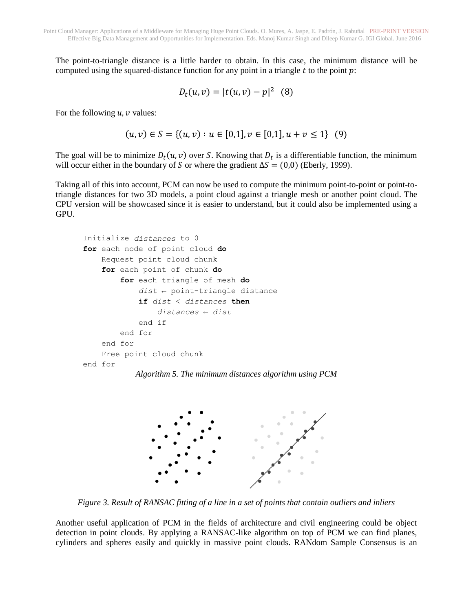The point-to-triangle distance is a little harder to obtain. In this case, the minimum distance will be computed using the squared-distance function for any point in a triangle  $t$  to the point  $p$ :

$$
D_t(u, v) = |t(u, v) - p|^2 \quad (8)
$$

For the following  $u$ ,  $v$  values:

$$
(u, v) \in S = \{(u, v) : u \in [0, 1], v \in [0, 1], u + v \le 1\} \tag{9}
$$

The goal will be to minimize  $D_t(u, v)$  over S. Knowing that  $D_t$  is a differentiable function, the minimum will occur either in the boundary of *S* or where the gradient  $\Delta S = (0,0)$  (Eberly, 1999).

Taking all of this into account, PCM can now be used to compute the minimum point-to-point or point-totriangle distances for two 3D models, a point cloud against a triangle mesh or another point cloud. The CPU version will be showcased since it is easier to understand, but it could also be implemented using a GPU.

```
Initialize distances to 0
for each node of point cloud do
     Request point cloud chunk
     for each point of chunk do
         for each triangle of mesh do
             dist ← point-triangle distance
             if dist < distances then
                 distances ← dist
             end if
         end for
     end for
     Free point cloud chunk
end for
```




*Figure 3. Result of RANSAC fitting of a line in a set of points that contain outliers and inliers*

Another useful application of PCM in the fields of architecture and civil engineering could be object detection in point clouds. By applying a RANSAC-like algorithm on top of PCM we can find planes, cylinders and spheres easily and quickly in massive point clouds. RANdom Sample Consensus is an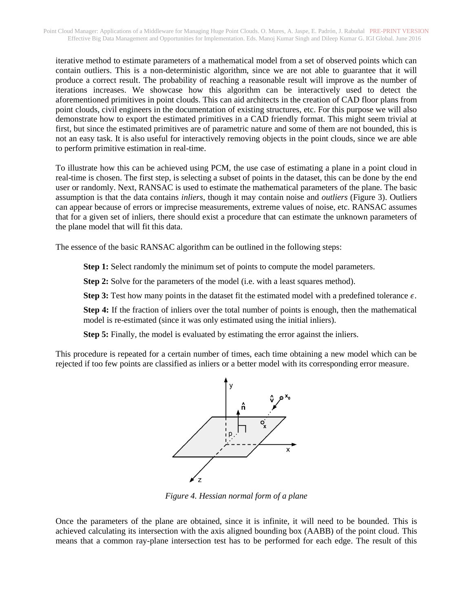iterative method to estimate parameters of a mathematical model from a set of observed points which can contain outliers. This is a non-deterministic algorithm, since we are not able to guarantee that it will produce a correct result. The probability of reaching a reasonable result will improve as the number of iterations increases. We showcase how this algorithm can be interactively used to detect the aforementioned primitives in point clouds. This can aid architects in the creation of CAD floor plans from point clouds, civil engineers in the documentation of existing structures, etc. For this purpose we will also demonstrate how to export the estimated primitives in a CAD friendly format. This might seem trivial at first, but since the estimated primitives are of parametric nature and some of them are not bounded, this is not an easy task. It is also useful for interactively removing objects in the point clouds, since we are able to perform primitive estimation in real-time.

To illustrate how this can be achieved using PCM, the use case of estimating a plane in a point cloud in real-time is chosen. The first step, is selecting a subset of points in the dataset, this can be done by the end user or randomly. Next, RANSAC is used to estimate the mathematical parameters of the plane. The basic assumption is that the data contains *inliers*, though it may contain noise and *outliers* (Figure 3). Outliers can appear because of errors or imprecise measurements, extreme values of noise, etc. RANSAC assumes that for a given set of inliers, there should exist a procedure that can estimate the unknown parameters of the plane model that will fit this data.

The essence of the basic RANSAC algorithm can be outlined in the following steps:

**Step 1:** Select randomly the minimum set of points to compute the model parameters.

**Step 2:** Solve for the parameters of the model (i.e. with a least squares method).

**Step 3:** Test how many points in the dataset fit the estimated model with a predefined tolerance  $\epsilon$ .

**Step 4:** If the fraction of inliers over the total number of points is enough, then the mathematical model is re-estimated (since it was only estimated using the initial inliers).

**Step 5:** Finally, the model is evaluated by estimating the error against the inliers.

This procedure is repeated for a certain number of times, each time obtaining a new model which can be rejected if too few points are classified as inliers or a better model with its corresponding error measure.



*Figure 4. Hessian normal form of a plane*

Once the parameters of the plane are obtained, since it is infinite, it will need to be bounded. This is achieved calculating its intersection with the axis aligned bounding box (AABB) of the point cloud. This means that a common ray-plane intersection test has to be performed for each edge. The result of this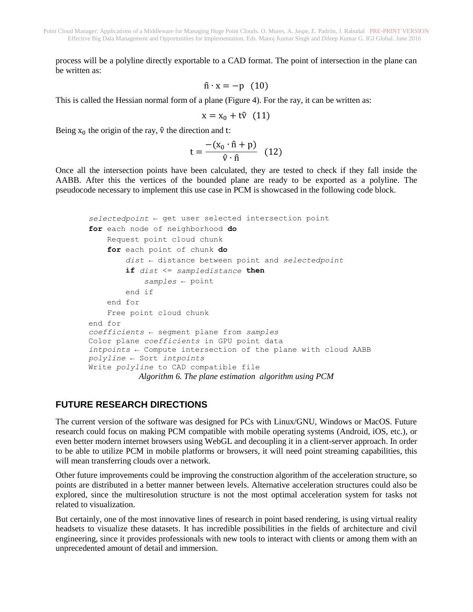process will be a polyline directly exportable to a CAD format. The point of intersection in the plane can be written as:

$$
\hat{\mathbf{n}} \cdot \mathbf{x} = -\mathbf{p} \quad (10)
$$

This is called the Hessian normal form of a plane (Figure 4). For the ray, it can be written as:

$$
x = x_0 + t\hat{v} \quad (11)
$$

Being  $x_0$  the origin of the ray,  $\hat{v}$  the direction and t:

$$
t = \frac{-(x_0 \cdot \hat{n} + p)}{\hat{v} \cdot \hat{n}} \quad (12)
$$

Once all the intersection points have been calculated, they are tested to check if they fall inside the AABB. After this the vertices of the bounded plane are ready to be exported as a polyline. The pseudocode necessary to implement this use case in PCM is showcased in the following code block.

```
selectedpoint ← get user selected intersection point
for each node of neighborhood do
     Request point cloud chunk
     for each point of chunk do
         dist ← distance between point and selectedpoint
         if dist <= sampledistance then
             samples ← point
         end if
     end for
     Free point cloud chunk
end for
coefficients ← segment plane from samples
Color plane coefficients in GPU point data
intpoints ← Compute intersection of the plane with cloud AABB
polyline ← Sort intpoints
Write polyline to CAD compatible file
           Algorithm 6. The plane estimation algorithm using PCM
```
#### **FUTURE RESEARCH DIRECTIONS**

The current version of the software was designed for PCs with Linux/GNU, Windows or MacOS. Future research could focus on making PCM compatible with mobile operating systems (Android, iOS, etc.), or even better modern internet browsers using WebGL and decoupling it in a client-server approach. In order to be able to utilize PCM in mobile platforms or browsers, it will need point streaming capabilities, this will mean transferring clouds over a network.

Other future improvements could be improving the construction algorithm of the acceleration structure, so points are distributed in a better manner between levels. Alternative acceleration structures could also be explored, since the multiresolution structure is not the most optimal acceleration system for tasks not related to visualization.

But certainly, one of the most innovative lines of research in point based rendering, is using virtual reality headsets to visualize these datasets. It has incredible possibilities in the fields of architecture and civil engineering, since it provides professionals with new tools to interact with clients or among them with an unprecedented amount of detail and immersion.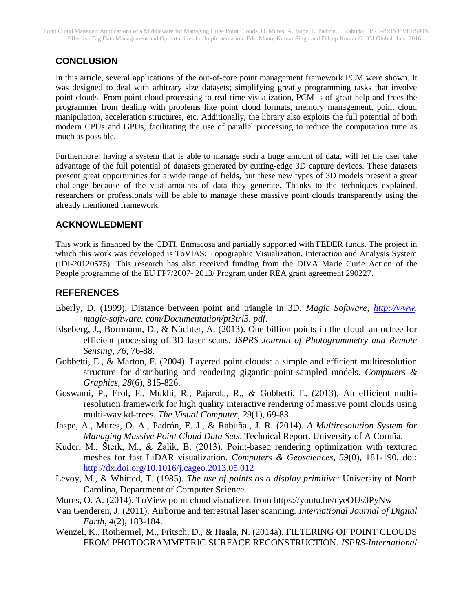# **CONCLUSION**

In this article, several applications of the out-of-core point management framework PCM were shown. It was designed to deal with arbitrary size datasets; simplifying greatly programming tasks that involve point clouds. From point cloud processing to real-time visualization, PCM is of great help and frees the programmer from dealing with problems like point cloud formats, memory management, point cloud manipulation, acceleration structures, etc. Additionally, the library also exploits the full potential of both modern CPUs and GPUs, facilitating the use of parallel processing to reduce the computation time as much as possible.

Furthermore, having a system that is able to manage such a huge amount of data, will let the user take advantage of the full potential of datasets generated by cutting-edge 3D capture devices. These datasets present great opportunities for a wide range of fields, but these new types of 3D models present a great challenge because of the vast amounts of data they generate. Thanks to the techniques explained, researchers or professionals will be able to manage these massive point clouds transparently using the already mentioned framework.

## **ACKNOWLEDMENT**

This work is financed by the CDTI, Enmacosa and partially supported with FEDER funds. The project in which this work was developed is ToVIAS: Topographic Visualization, Interaction and Analysis System (IDI-20120575). This research has also received funding from the DIVA Marie Curie Action of the People programme of the EU FP7/2007- 2013/ Program under REA grant agreement 290227.

# **REFERENCES**

- Eberly, D. (1999). Distance between point and triangle in 3D. *Magic Software, [http://www.](http://www/) magic-software. com/Documentation/pt3tri3. pdf*.
- Elseberg, J., Borrmann, D., & Nüchter, A. (2013). One billion points in the cloud–an octree for efficient processing of 3D laser scans. *ISPRS Journal of Photogrammetry and Remote Sensing, 76*, 76-88.
- Gobbetti, E., & Marton, F. (2004). Layered point clouds: a simple and efficient multiresolution structure for distributing and rendering gigantic point-sampled models. *Computers & Graphics, 28*(6), 815-826.
- Goswami, P., Erol, F., Mukhi, R., Pajarola, R., & Gobbetti, E. (2013). An efficient multiresolution framework for high quality interactive rendering of massive point clouds using multi-way kd-trees. *The Visual Computer, 29*(1), 69-83.
- Jaspe, A., Mures, O. A., Padrón, E. J., & Rabuñal, J. R. (2014). *A Multiresolution System for Managing Massive Point Cloud Data Sets*. Technical Report. University of A Coruña.
- Kuder, M., Šterk, M., & Žalik, B. (2013). Point-based rendering optimization with textured meshes for fast LiDAR visualization. *Computers & Geosciences, 59*(0), 181-190. doi: <http://dx.doi.org/10.1016/j.cageo.2013.05.012>
- Levoy, M., & Whitted, T. (1985). *The use of points as a display primitive*: University of North Carolina, Department of Computer Science.
- Mures, O. A. (2014). ToView point cloud visualizer. from https://youtu.be/cyeOUs0PyNw
- Van Genderen, J. (2011). Airborne and terrestrial laser scanning. *International Journal of Digital Earth, 4*(2), 183-184.
- Wenzel, K., Rothermel, M., Fritsch, D., & Haala, N. (2014a). FILTERING OF POINT CLOUDS FROM PHOTOGRAMMETRIC SURFACE RECONSTRUCTION. *ISPRS-International*